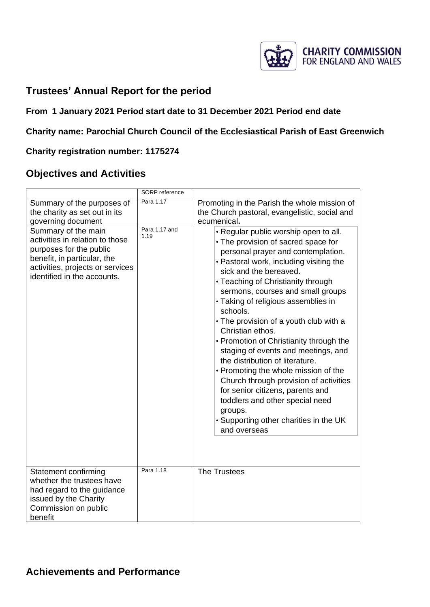

# **Trustees' Annual Report for the period**

## **From 1 January 2021 Period start date to 31 December 2021 Period end date**

## **Charity name: Parochial Church Council of the Ecclesiastical Parish of East Greenwich**

## **Charity registration number: 1175274**

# **Objectives and Activities**

|                                                                                                                                                                                     | SORP reference        |                                                                                                                                                                                                                                                                                                                                                                                                                                                                                                                                                                                                                                                                                                                                        |
|-------------------------------------------------------------------------------------------------------------------------------------------------------------------------------------|-----------------------|----------------------------------------------------------------------------------------------------------------------------------------------------------------------------------------------------------------------------------------------------------------------------------------------------------------------------------------------------------------------------------------------------------------------------------------------------------------------------------------------------------------------------------------------------------------------------------------------------------------------------------------------------------------------------------------------------------------------------------------|
| Summary of the purposes of<br>the charity as set out in its<br>governing document                                                                                                   | Para 1.17             | Promoting in the Parish the whole mission of<br>the Church pastoral, evangelistic, social and<br>ecumenical.                                                                                                                                                                                                                                                                                                                                                                                                                                                                                                                                                                                                                           |
| Summary of the main<br>activities in relation to those<br>purposes for the public<br>benefit, in particular, the<br>activities, projects or services<br>identified in the accounts. | Para 1.17 and<br>1.19 | • Regular public worship open to all.<br>• The provision of sacred space for<br>personal prayer and contemplation.<br>• Pastoral work, including visiting the<br>sick and the bereaved.<br>• Teaching of Christianity through<br>sermons, courses and small groups<br>• Taking of religious assemblies in<br>schools.<br>• The provision of a youth club with a<br>Christian ethos.<br>• Promotion of Christianity through the<br>staging of events and meetings, and<br>the distribution of literature.<br>• Promoting the whole mission of the<br>Church through provision of activities<br>for senior citizens, parents and<br>toddlers and other special need<br>groups.<br>• Supporting other charities in the UK<br>and overseas |
| Statement confirming<br>whether the trustees have<br>had regard to the guidance<br>issued by the Charity<br>Commission on public<br>benefit                                         | Para 1.18             | <b>The Trustees</b>                                                                                                                                                                                                                                                                                                                                                                                                                                                                                                                                                                                                                                                                                                                    |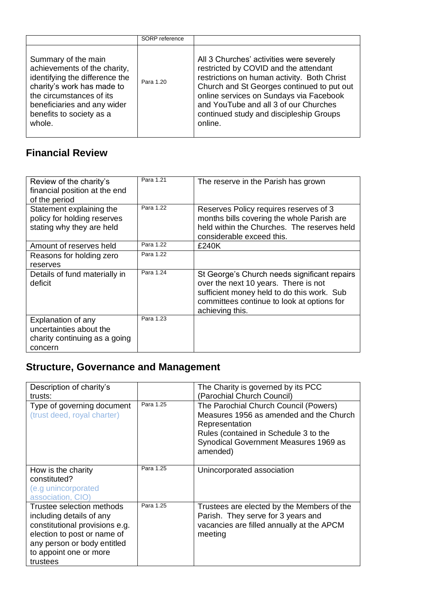|                                                                                                                                                                                                                      | SORP reference |                                                                                                                                                                                                                                                                                                                          |
|----------------------------------------------------------------------------------------------------------------------------------------------------------------------------------------------------------------------|----------------|--------------------------------------------------------------------------------------------------------------------------------------------------------------------------------------------------------------------------------------------------------------------------------------------------------------------------|
| Summary of the main<br>achievements of the charity,<br>identifying the difference the<br>charity's work has made to<br>the circumstances of its<br>beneficiaries and any wider<br>benefits to society as a<br>whole. | Para 1.20      | All 3 Churches' activities were severely<br>restricted by COVID and the attendant<br>restrictions on human activity. Both Christ<br>Church and St Georges continued to put out<br>online services on Sundays via Facebook<br>and YouTube and all 3 of our Churches<br>continued study and discipleship Groups<br>online. |

# **Financial Review**

| Review of the charity's<br>financial position at the end<br>of the period                 | Para 1.21 | The reserve in the Parish has grown                                                                                                                                                                 |
|-------------------------------------------------------------------------------------------|-----------|-----------------------------------------------------------------------------------------------------------------------------------------------------------------------------------------------------|
| Statement explaining the<br>policy for holding reserves<br>stating why they are held      | Para 1.22 | Reserves Policy requires reserves of 3<br>months bills covering the whole Parish are<br>held within the Churches. The reserves held<br>considerable exceed this.                                    |
| Amount of reserves held                                                                   | Para 1.22 | £240K                                                                                                                                                                                               |
| Reasons for holding zero<br>reserves                                                      | Para 1.22 |                                                                                                                                                                                                     |
| Details of fund materially in<br>deficit                                                  | Para 1.24 | St George's Church needs significant repairs<br>over the next 10 years. There is not<br>sufficient money held to do this work. Sub<br>committees continue to look at options for<br>achieving this. |
| Explanation of any<br>uncertainties about the<br>charity continuing as a going<br>concern | Para 1.23 |                                                                                                                                                                                                     |

# **Structure, Governance and Management**

| Description of charity's<br>trusts:                                                                                                                                                         |           | The Charity is governed by its PCC<br>(Parochial Church Council)                                                                                                                                 |
|---------------------------------------------------------------------------------------------------------------------------------------------------------------------------------------------|-----------|--------------------------------------------------------------------------------------------------------------------------------------------------------------------------------------------------|
| Type of governing document<br>(trust deed, royal charter)                                                                                                                                   | Para 1.25 | The Parochial Church Council (Powers)<br>Measures 1956 as amended and the Church<br>Representation<br>Rules (contained in Schedule 3 to the<br>Synodical Government Measures 1969 as<br>amended) |
| How is the charity<br>constituted?<br>(e.g unincorporated<br>association, CIO)                                                                                                              | Para 1.25 | Unincorporated association                                                                                                                                                                       |
| Trustee selection methods<br>including details of any<br>constitutional provisions e.g.<br>election to post or name of<br>any person or body entitled<br>to appoint one or more<br>trustees | Para 1.25 | Trustees are elected by the Members of the<br>Parish. They serve for 3 years and<br>vacancies are filled annually at the APCM<br>meeting                                                         |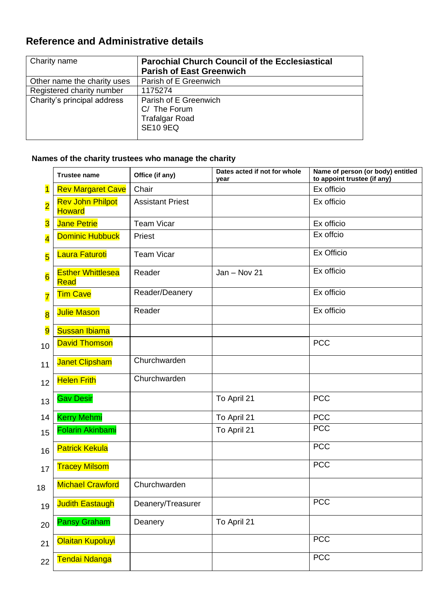# **Reference and Administrative details**

| Charity name                | <b>Parochial Church Council of the Ecclesiastical</b>                             |
|-----------------------------|-----------------------------------------------------------------------------------|
|                             | <b>Parish of East Greenwich</b>                                                   |
| Other name the charity uses | Parish of E Greenwich                                                             |
| Registered charity number   | 1175274                                                                           |
| Charity's principal address | Parish of E Greenwich<br>C/ The Forum<br><b>Trafalgar Road</b><br><b>SE10 9EQ</b> |
|                             |                                                                                   |

# **Names of the charity trustees who manage the charity**

|                         | <b>Trustee name</b>                      | Office (if any)         | Dates acted if not for whole<br>vear | Name of person (or body) entitled<br>to appoint trustee (if any) |
|-------------------------|------------------------------------------|-------------------------|--------------------------------------|------------------------------------------------------------------|
| $\overline{\mathbf{1}}$ | <b>Rev Margaret Cave</b>                 | Chair                   |                                      | Ex officio                                                       |
| $\overline{\mathbf{2}}$ | <b>Rev John Philpot</b><br><b>Howard</b> | <b>Assistant Priest</b> |                                      | Ex officio                                                       |
| $\overline{\mathbf{3}}$ | <b>Jane Petrie</b>                       | <b>Team Vicar</b>       |                                      | Ex officio                                                       |
| $\overline{\mathbf{4}}$ | <b>Dominic Hubbuck</b>                   | Priest                  |                                      | Ex offcio                                                        |
| $\overline{\mathbf{5}}$ | Laura Faturoti                           | <b>Team Vicar</b>       |                                      | Ex Officio                                                       |
| $6\overline{6}$         | <b>Esther Whittlesea</b><br><b>Read</b>  | Reader                  | $Jan - Nov 21$                       | Ex officio                                                       |
| $\overline{\mathbf{7}}$ | <b>Tim Cave</b>                          | Reader/Deanery          |                                      | Ex officio                                                       |
| $\overline{\mathbf{8}}$ | <b>Julie Mason</b>                       | Reader                  |                                      | Ex officio                                                       |
| $\overline{9}$          | <b>Sussan Ibiama</b>                     |                         |                                      |                                                                  |
| 10                      | <b>David Thomson</b>                     |                         |                                      | <b>PCC</b>                                                       |
| 11                      | <b>Janet Clipsham</b>                    | Churchwarden            |                                      |                                                                  |
| 12                      | <b>Helen Frith</b>                       | Churchwarden            |                                      |                                                                  |
| 13                      | <b>Gav Desir</b>                         |                         | To April 21                          | <b>PCC</b>                                                       |
| 14                      | <b>Kerry Mehmi</b>                       |                         | To April 21                          | <b>PCC</b>                                                       |
| 15                      | Folarin Akinbami                         |                         | To April 21                          | <b>PCC</b>                                                       |
| 16                      | <b>Patrick Kekula</b>                    |                         |                                      | <b>PCC</b>                                                       |
| 17                      | <b>Tracey Milsom</b>                     |                         |                                      | <b>PCC</b>                                                       |
| 18                      | <b>Michael Crawford</b>                  | Churchwarden            |                                      |                                                                  |
| 19                      | <b>Judith Eastaugh</b>                   | Deanery/Treasurer       |                                      | <b>PCC</b>                                                       |
| 20                      | <b>Pansy Graham</b>                      | Deanery                 | To April 21                          |                                                                  |
| 21                      | Olaitan Kupoluyi                         |                         |                                      | <b>PCC</b>                                                       |
| 22                      | Tendai Ndanga                            |                         |                                      | <b>PCC</b>                                                       |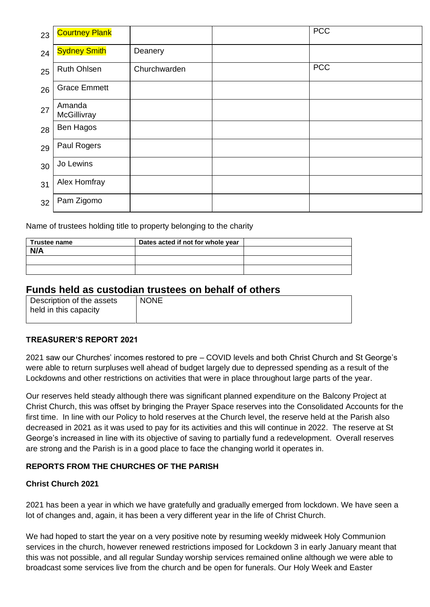| 23 | <b>Courtney Plank</b> |              | <b>PCC</b> |
|----|-----------------------|--------------|------------|
| 24 | <b>Sydney Smith</b>   | Deanery      |            |
| 25 | <b>Ruth Ohlsen</b>    | Churchwarden | <b>PCC</b> |
| 26 | <b>Grace Emmett</b>   |              |            |
| 27 | Amanda<br>McGillivray |              |            |
| 28 | Ben Hagos             |              |            |
| 29 | Paul Rogers           |              |            |
| 30 | Jo Lewins             |              |            |
| 31 | Alex Homfray          |              |            |
| 32 | Pam Zigomo            |              |            |

Name of trustees holding title to property belonging to the charity

| <b>Trustee name</b> | Dates acted if not for whole year |  |
|---------------------|-----------------------------------|--|
| N/A                 |                                   |  |
|                     |                                   |  |
|                     |                                   |  |

## **Funds held as custodian trustees on behalf of others**

| Description of the assets<br>held in this capacity | <b>NONE</b> |
|----------------------------------------------------|-------------|
|                                                    |             |

#### **TREASURER'S REPORT 2021**

2021 saw our Churches' incomes restored to pre – COVID levels and both Christ Church and St George's were able to return surpluses well ahead of budget largely due to depressed spending as a result of the Lockdowns and other restrictions on activities that were in place throughout large parts of the year.

Our reserves held steady although there was significant planned expenditure on the Balcony Project at Christ Church, this was offset by bringing the Prayer Space reserves into the Consolidated Accounts for the first time. In line with our Policy to hold reserves at the Church level, the reserve held at the Parish also decreased in 2021 as it was used to pay for its activities and this will continue in 2022. The reserve at St George's increased in line with its objective of saving to partially fund a redevelopment. Overall reserves are strong and the Parish is in a good place to face the changing world it operates in.

## **REPORTS FROM THE CHURCHES OF THE PARISH**

#### **Christ Church 2021**

2021 has been a year in which we have gratefully and gradually emerged from lockdown. We have seen a lot of changes and, again, it has been a very different year in the life of Christ Church.

We had hoped to start the year on a very positive note by resuming weekly midweek Holy Communion services in the church, however renewed restrictions imposed for Lockdown 3 in early January meant that this was not possible, and all regular Sunday worship services remained online although we were able to broadcast some services live from the church and be open for funerals. Our Holy Week and Easter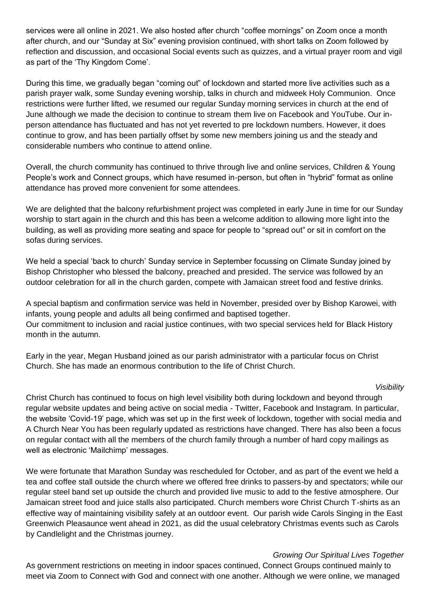services were all online in 2021. We also hosted after church "coffee mornings" on Zoom once a month after church, and our "Sunday at Six" evening provision continued, with short talks on Zoom followed by reflection and discussion, and occasional Social events such as quizzes, and a virtual prayer room and vigil as part of the 'Thy Kingdom Come'.

During this time, we gradually began "coming out" of lockdown and started more live activities such as a parish prayer walk, some Sunday evening worship, talks in church and midweek Holy Communion. Once restrictions were further lifted, we resumed our regular Sunday morning services in church at the end of June although we made the decision to continue to stream them live on Facebook and YouTube. Our inperson attendance has fluctuated and has not yet reverted to pre lockdown numbers. However, it does continue to grow, and has been partially offset by some new members joining us and the steady and considerable numbers who continue to attend online.

Overall, the church community has continued to thrive through live and online services, Children & Young People's work and Connect groups, which have resumed in-person, but often in "hybrid" format as online attendance has proved more convenient for some attendees.

We are delighted that the balcony refurbishment project was completed in early June in time for our Sunday worship to start again in the church and this has been a welcome addition to allowing more light into the building, as well as providing more seating and space for people to "spread out" or sit in comfort on the sofas during services.

We held a special 'back to church' Sunday service in September focussing on Climate Sunday joined by Bishop Christopher who blessed the balcony, preached and presided. The service was followed by an outdoor celebration for all in the church garden, compete with Jamaican street food and festive drinks.

A special baptism and confirmation service was held in November, presided over by Bishop Karowei, with infants, young people and adults all being confirmed and baptised together. Our commitment to inclusion and racial justice continues, with two special services held for Black History month in the autumn.

Early in the year, Megan Husband joined as our parish administrator with a particular focus on Christ Church. She has made an enormous contribution to the life of Christ Church.

#### *Visibility*

Christ Church has continued to focus on high level visibility both during lockdown and beyond through regular website updates and being active on social media - Twitter, Facebook and Instagram. In particular, the website 'Covid-19' page, which was set up in the first week of lockdown, together with social media and A Church Near You has been regularly updated as restrictions have changed. There has also been a focus on regular contact with all the members of the church family through a number of hard copy mailings as well as electronic 'Mailchimp' messages.

We were fortunate that Marathon Sunday was rescheduled for October, and as part of the event we held a tea and coffee stall outside the church where we offered free drinks to passers-by and spectators; while our regular steel band set up outside the church and provided live music to add to the festive atmosphere. Our Jamaican street food and juice stalls also participated. Church members wore Christ Church T-shirts as an effective way of maintaining visibility safely at an outdoor event. Our parish wide Carols Singing in the East Greenwich Pleasaunce went ahead in 2021, as did the usual celebratory Christmas events such as Carols by Candlelight and the Christmas journey.

#### *Growing Our Spiritual Lives Together*

As government restrictions on meeting in indoor spaces continued, Connect Groups continued mainly to meet via Zoom to Connect with God and connect with one another. Although we were online, we managed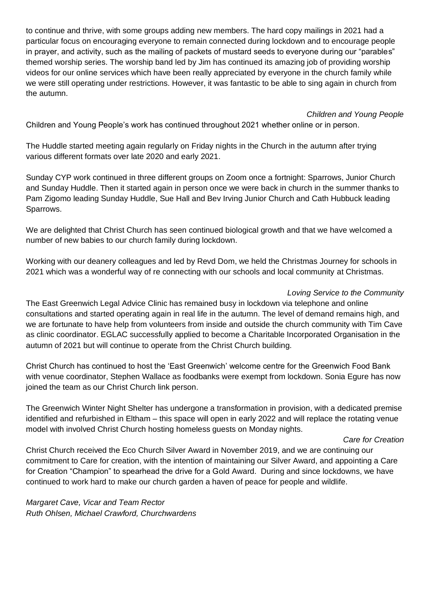to continue and thrive, with some groups adding new members. The hard copy mailings in 2021 had a particular focus on encouraging everyone to remain connected during lockdown and to encourage people in prayer, and activity, such as the mailing of packets of mustard seeds to everyone during our "parables" themed worship series. The worship band led by Jim has continued its amazing job of providing worship videos for our online services which have been really appreciated by everyone in the church family while we were still operating under restrictions. However, it was fantastic to be able to sing again in church from the autumn.

*Children and Young People* 

Children and Young People's work has continued throughout 2021 whether online or in person.

The Huddle started meeting again regularly on Friday nights in the Church in the autumn after trying various different formats over late 2020 and early 2021.

Sunday CYP work continued in three different groups on Zoom once a fortnight: Sparrows, Junior Church and Sunday Huddle. Then it started again in person once we were back in church in the summer thanks to Pam Zigomo leading Sunday Huddle, Sue Hall and Bev Irving Junior Church and Cath Hubbuck leading Sparrows.

We are delighted that Christ Church has seen continued biological growth and that we have welcomed a number of new babies to our church family during lockdown.

Working with our deanery colleagues and led by Revd Dom, we held the Christmas Journey for schools in 2021 which was a wonderful way of re connecting with our schools and local community at Christmas.

## *Loving Service to the Community*

The East Greenwich Legal Advice Clinic has remained busy in lockdown via telephone and online consultations and started operating again in real life in the autumn. The level of demand remains high, and we are fortunate to have help from volunteers from inside and outside the church community with Tim Cave as clinic coordinator. EGLAC successfully applied to become a Charitable Incorporated Organisation in the autumn of 2021 but will continue to operate from the Christ Church building.

Christ Church has continued to host the 'East Greenwich' welcome centre for the Greenwich Food Bank with venue coordinator, Stephen Wallace as foodbanks were exempt from lockdown. Sonia Egure has now joined the team as our Christ Church link person.

The Greenwich Winter Night Shelter has undergone a transformation in provision, with a dedicated premise identified and refurbished in Eltham – this space will open in early 2022 and will replace the rotating venue model with involved Christ Church hosting homeless guests on Monday nights.

#### *Care for Creation*

Christ Church received the Eco Church Silver Award in November 2019, and we are continuing our commitment to Care for creation, with the intention of maintaining our Silver Award, and appointing a Care for Creation "Champion" to spearhead the drive for a Gold Award. During and since lockdowns, we have continued to work hard to make our church garden a haven of peace for people and wildlife.

*Margaret Cave, Vicar and Team Rector Ruth Ohlsen, Michael Crawford, Churchwardens*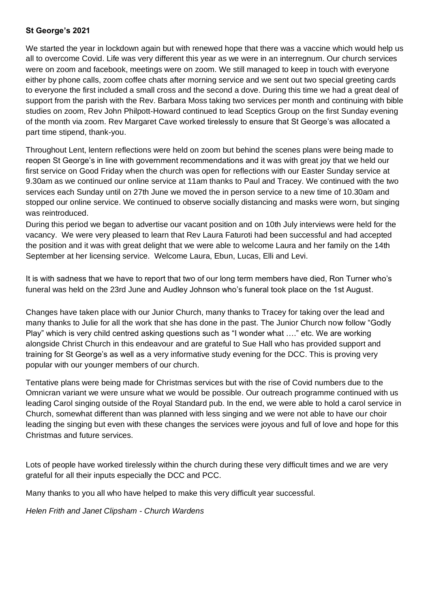#### **St George's 2021**

We started the year in lockdown again but with renewed hope that there was a vaccine which would help us all to overcome Covid. Life was very different this year as we were in an interregnum. Our church services were on zoom and facebook, meetings were on zoom. We still managed to keep in touch with everyone either by phone calls, zoom coffee chats after morning service and we sent out two special greeting cards to everyone the first included a small cross and the second a dove. During this time we had a great deal of support from the parish with the Rev. Barbara Moss taking two services per month and continuing with bible studies on zoom, Rev John Philpott-Howard continued to lead Sceptics Group on the first Sunday evening of the month via zoom. Rev Margaret Cave worked tirelessly to ensure that St George's was allocated a part time stipend, thank-you.

Throughout Lent, lentern reflections were held on zoom but behind the scenes plans were being made to reopen St George's in line with government recommendations and it was with great joy that we held our first service on Good Friday when the church was open for reflections with our Easter Sunday service at 9.30am as we continued our online service at 11am thanks to Paul and Tracey. We continued with the two services each Sunday until on 27th June we moved the in person service to a new time of 10.30am and stopped our online service. We continued to observe socially distancing and masks were worn, but singing was reintroduced.

During this period we began to advertise our vacant position and on 10th July interviews were held for the vacancy. We were very pleased to learn that Rev Laura Faturoti had been successful and had accepted the position and it was with great delight that we were able to welcome Laura and her family on the 14th September at her licensing service. Welcome Laura, Ebun, Lucas, Elli and Levi.

It is with sadness that we have to report that two of our long term members have died, Ron Turner who's funeral was held on the 23rd June and Audley Johnson who's funeral took place on the 1st August.

Changes have taken place with our Junior Church, many thanks to Tracey for taking over the lead and many thanks to Julie for all the work that she has done in the past. The Junior Church now follow "Godly Play" which is very child centred asking questions such as "I wonder what …." etc. We are working alongside Christ Church in this endeavour and are grateful to Sue Hall who has provided support and training for St George's as well as a very informative study evening for the DCC. This is proving very popular with our younger members of our church.

Tentative plans were being made for Christmas services but with the rise of Covid numbers due to the Omnicran variant we were unsure what we would be possible. Our outreach programme continued with us leading Carol singing outside of the Royal Standard pub. In the end, we were able to hold a carol service in Church, somewhat different than was planned with less singing and we were not able to have our choir leading the singing but even with these changes the services were joyous and full of love and hope for this Christmas and future services.

Lots of people have worked tirelessly within the church during these very difficult times and we are very grateful for all their inputs especially the DCC and PCC.

Many thanks to you all who have helped to make this very difficult year successful.

*Helen Frith and Janet Clipsham - Church Wardens*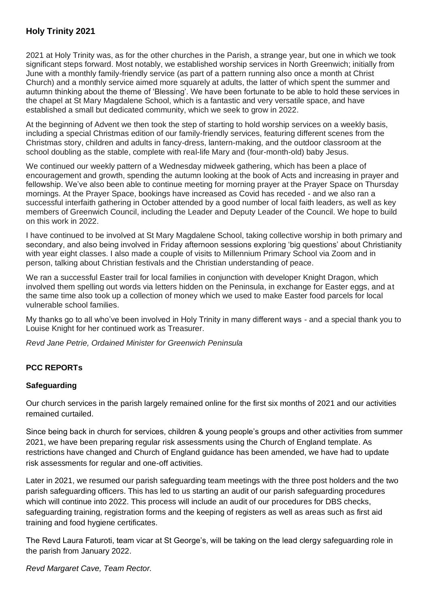## **Holy Trinity 2021**

2021 at Holy Trinity was, as for the other churches in the Parish, a strange year, but one in which we took significant steps forward. Most notably, we established worship services in North Greenwich; initially from June with a monthly family-friendly service (as part of a pattern running also once a month at Christ Church) and a monthly service aimed more squarely at adults, the latter of which spent the summer and autumn thinking about the theme of 'Blessing'. We have been fortunate to be able to hold these services in the chapel at St Mary Magdalene School, which is a fantastic and very versatile space, and have established a small but dedicated community, which we seek to grow in 2022.

At the beginning of Advent we then took the step of starting to hold worship services on a weekly basis, including a special Christmas edition of our family-friendly services, featuring different scenes from the Christmas story, children and adults in fancy-dress, lantern-making, and the outdoor classroom at the school doubling as the stable, complete with real-life Mary and (four-month-old) baby Jesus.

We continued our weekly pattern of a Wednesday midweek gathering, which has been a place of encouragement and growth, spending the autumn looking at the book of Acts and increasing in prayer and fellowship. We've also been able to continue meeting for morning prayer at the Prayer Space on Thursday mornings. At the Prayer Space, bookings have increased as Covid has receded - and we also ran a successful interfaith gathering in October attended by a good number of local faith leaders, as well as key members of Greenwich Council, including the Leader and Deputy Leader of the Council. We hope to build on this work in 2022.

I have continued to be involved at St Mary Magdalene School, taking collective worship in both primary and secondary, and also being involved in Friday afternoon sessions exploring 'big questions' about Christianity with year eight classes. I also made a couple of visits to Millennium Primary School via Zoom and in person, talking about Christian festivals and the Christian understanding of peace.

We ran a successful Easter trail for local families in conjunction with developer Knight Dragon, which involved them spelling out words via letters hidden on the Peninsula, in exchange for Easter eggs, and at the same time also took up a collection of money which we used to make Easter food parcels for local vulnerable school families.

My thanks go to all who've been involved in Holy Trinity in many different ways - and a special thank you to Louise Knight for her continued work as Treasurer.

*Revd Jane Petrie, Ordained Minister for Greenwich Peninsula*

## **PCC REPORTs**

#### **Safeguarding**

Our church services in the parish largely remained online for the first six months of 2021 and our activities remained curtailed.

Since being back in church for services, children & young people's groups and other activities from summer 2021, we have been preparing regular risk assessments using the Church of England template. As restrictions have changed and Church of England guidance has been amended, we have had to update risk assessments for regular and one-off activities.

Later in 2021, we resumed our parish safeguarding team meetings with the three post holders and the two parish safeguarding officers. This has led to us starting an audit of our parish safeguarding procedures which will continue into 2022. This process will include an audit of our procedures for DBS checks, safeguarding training, registration forms and the keeping of registers as well as areas such as first aid training and food hygiene certificates.

The Revd Laura Faturoti, team vicar at St George's, will be taking on the lead clergy safeguarding role in the parish from January 2022.

*Revd Margaret Cave, Team Rector.*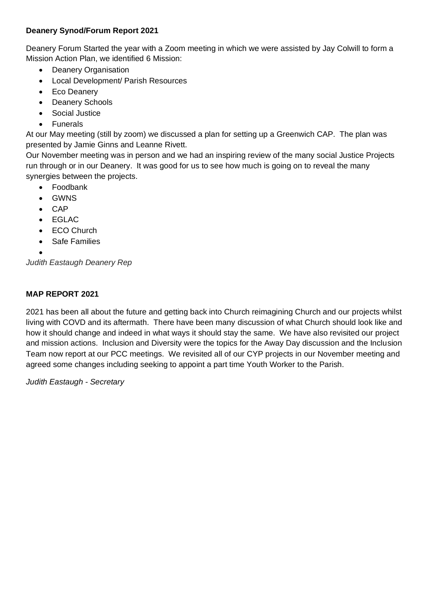## **Deanery Synod/Forum Report 2021**

Deanery Forum Started the year with a Zoom meeting in which we were assisted by Jay Colwill to form a Mission Action Plan, we identified 6 Mission:

- Deanery Organisation
- Local Development/ Parish Resources
- Eco Deanery
- Deanery Schools
- Social Justice
- Funerals

At our May meeting (still by zoom) we discussed a plan for setting up a Greenwich CAP. The plan was presented by Jamie Ginns and Leanne Rivett.

Our November meeting was in person and we had an inspiring review of the many social Justice Projects run through or in our Deanery. It was good for us to see how much is going on to reveal the many synergies between the projects.

- Foodbank
- GWNS
- CAP
- EGLAC
- ECO Church
- Safe Families

•

*Judith Eastaugh Deanery Rep*

## **MAP REPORT 2021**

2021 has been all about the future and getting back into Church reimagining Church and our projects whilst living with COVD and its aftermath. There have been many discussion of what Church should look like and how it should change and indeed in what ways it should stay the same. We have also revisited our project and mission actions. Inclusion and Diversity were the topics for the Away Day discussion and the Inclusion Team now report at our PCC meetings. We revisited all of our CYP projects in our November meeting and agreed some changes including seeking to appoint a part time Youth Worker to the Parish.

*Judith Eastaugh - Secretary*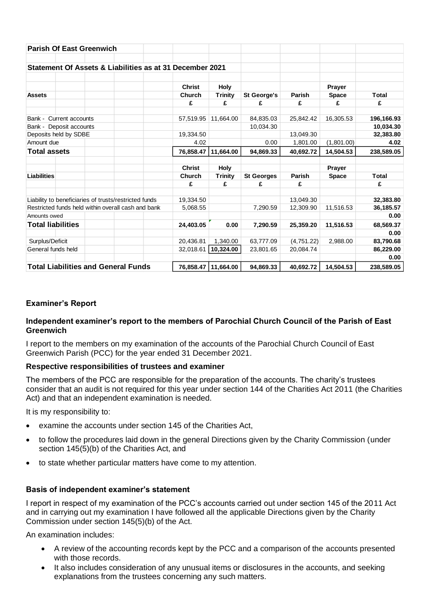| <b>Parish Of East Greenwich</b>                       |                  |                                                          |                         |                        |                   |            |                        |              |
|-------------------------------------------------------|------------------|----------------------------------------------------------|-------------------------|------------------------|-------------------|------------|------------------------|--------------|
|                                                       |                  | Statement Of Assets & Liabilities as at 31 December 2021 |                         |                        |                   |            |                        |              |
| <b>Assets</b>                                         |                  |                                                          | <b>Christ</b><br>Church | Holy<br><b>Trinity</b> | St George's       | Parish     | Prayer<br><b>Space</b> | <b>Total</b> |
|                                                       |                  |                                                          | £                       | £                      | £                 | £          | £                      | £            |
| Bank -                                                | Current accounts |                                                          | 57,519.95               | 11,664.00              | 84,835.03         | 25,842.42  | 16,305.53              | 196,166.93   |
| Bank - Deposit accounts                               |                  |                                                          |                         |                        | 10,034.30         |            |                        | 10,034.30    |
| Deposits held by SDBE                                 |                  |                                                          | 19,334.50               |                        |                   | 13,049.30  |                        | 32,383.80    |
| Amount due                                            |                  |                                                          | 4.02                    |                        | 0.00              | 1,801.00   | (1,801.00)             | 4.02         |
| <b>Total assets</b>                                   |                  |                                                          | 76,858.47               | 11,664.00              | 94,869.33         | 40.692.72  | 14,504.53              | 238,589.05   |
|                                                       |                  |                                                          | <b>Christ</b>           | Holy                   |                   |            | Prayer                 |              |
| Liabilities                                           |                  |                                                          | <b>Church</b>           | <b>Trinity</b>         | <b>St Georges</b> | Parish     | <b>Space</b>           | <b>Total</b> |
|                                                       |                  |                                                          | £                       | £                      | £                 | £          |                        | £            |
| Liability to beneficiaries of trusts/restricted funds |                  |                                                          | 19,334.50               |                        |                   | 13,049.30  |                        | 32,383.80    |
| Restricted funds held within overall cash and bank    |                  |                                                          | 5,068.55                |                        | 7,290.59          | 12,309.90  | 11,516.53              | 36,185.57    |
| Amounts owed                                          |                  |                                                          |                         |                        |                   |            |                        | 0.00         |
| <b>Total liabilities</b>                              |                  |                                                          | 24,403.05               | 0.00                   | 7,290.59          | 25,359.20  | 11,516.53              | 68,569.37    |
|                                                       |                  |                                                          |                         |                        |                   |            |                        | 0.00         |
| Surplus/Deficit                                       |                  |                                                          | 20,436.81               | 1,340.00               | 63,777.09         | (4,751.22) | 2,988.00               | 83,790.68    |
| General funds held                                    |                  |                                                          | 32,018.61               | 10,324.00              | 23,801.65         | 20,084.74  |                        | 86,229.00    |
|                                                       |                  |                                                          |                         |                        |                   |            |                        | 0.00         |
| <b>Total Liabilities and General Funds</b>            |                  |                                                          | 76,858.47               | 11,664.00              | 94,869.33         | 40,692.72  | 14,504.53              | 238,589.05   |

## **Examiner's Report**

#### **Independent examiner's report to the members of Parochial Church Council of the Parish of East Greenwich**

I report to the members on my examination of the accounts of the Parochial Church Council of East Greenwich Parish (PCC) for the year ended 31 December 2021.

#### **Respective responsibilities of trustees and examiner**

The members of the PCC are responsible for the preparation of the accounts. The charity's trustees consider that an audit is not required for this year under section 144 of the Charities Act 2011 (the Charities Act) and that an independent examination is needed.

It is my responsibility to:

- examine the accounts under section 145 of the Charities Act,
- to follow the procedures laid down in the general Directions given by the Charity Commission (under section 145(5)(b) of the Charities Act, and
- to state whether particular matters have come to my attention.

#### **Basis of independent examiner's statement**

I report in respect of my examination of the PCC's accounts carried out under section 145 of the 2011 Act and in carrying out my examination I have followed all the applicable Directions given by the Charity Commission under section 145(5)(b) of the Act.

An examination includes:

- A review of the accounting records kept by the PCC and a comparison of the accounts presented with those records.
- It also includes consideration of any unusual items or disclosures in the accounts, and seeking explanations from the trustees concerning any such matters.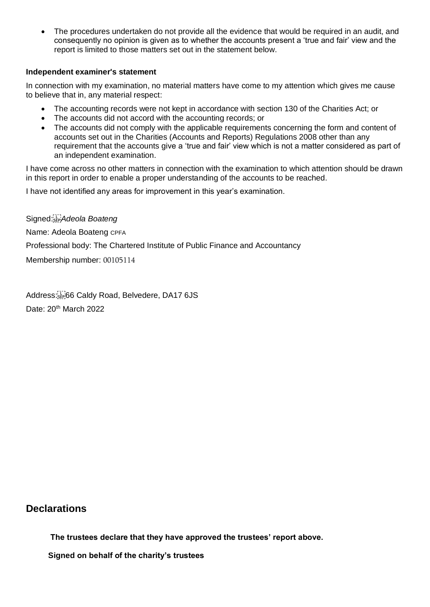• The procedures undertaken do not provide all the evidence that would be required in an audit, and consequently no opinion is given as to whether the accounts present a 'true and fair' view and the report is limited to those matters set out in the statement below.

#### **Independent examiner's statement**

In connection with my examination, no material matters have come to my attention which gives me cause to believe that in, any material respect:

- The accounting records were not kept in accordance with section 130 of the Charities Act; or
- The accounts did not accord with the accounting records; or
- The accounts did not comply with the applicable requirements concerning the form and content of accounts set out in the Charities (Accounts and Reports) Regulations 2008 other than any requirement that the accounts give a 'true and fair' view which is not a matter considered as part of an independent examination.

I have come across no other matters in connection with the examination to which attention should be drawn in this report in order to enable a proper understanding of the accounts to be reached.

I have not identified any areas for improvement in this year's examination.

Signed:<sup>[17]</sup> Adeola Boateng Name: Adeola Boateng CPFA Professional body: The Chartered Institute of Public Finance and Accountancy Membership number: 00105114

Address: 66 Caldy Road, Belvedere, DA17 6JS Date: 20<sup>th</sup> March 2022

## **Declarations**

 **The trustees declare that they have approved the trustees' report above.** 

 **Signed on behalf of the charity's trustees**